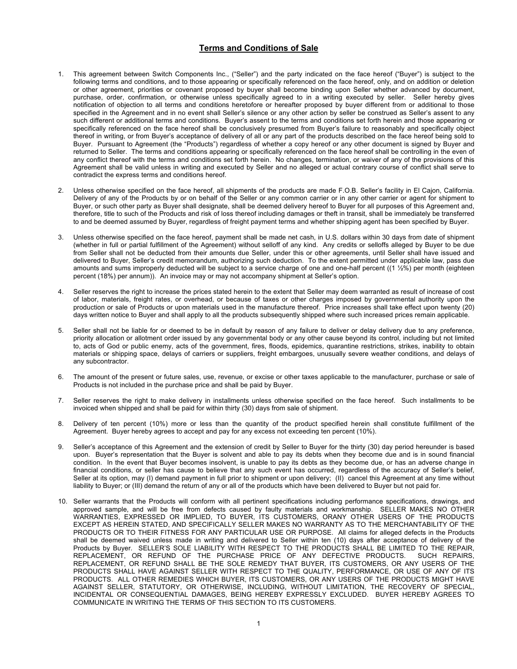## **Terms and Conditions of Sale**

- 1. This agreement between Switch Components Inc., ("Seller") and the party indicated on the face hereof ("Buyer") is subject to the following terms and conditions, and to those appearing or specifically referenced on the face hereof, only, and on addition or deletion or other agreement, priorities or covenant proposed by buyer shall become binding upon Seller whether advanced by document, purchase, order, confirmation, or otherwise unless specifically agreed to in a writing executed by seller. Seller hereby gives notification of objection to all terms and conditions heretofore or hereafter proposed by buyer different from or additional to those specified in the Agreement and in no event shall Seller's silence or any other action by seller be construed as Seller's assent to any such different or additional terms and conditions. Buyer's assent to the terms and conditions set forth herein and those appearing or specifically referenced on the face hereof shall be conclusively presumed from Buyer's failure to reasonably and specifically object thereof in writing, or from Buyer's acceptance of delivery of all or any part of the products described on the face hereof being sold to Buyer. Pursuant to Agreement (the "Products") regardless of whether a copy hereof or any other document is signed by Buyer and returned to Seller. The terms and conditions appearing or specifically referenced on the face hereof shall be controlling in the even of any conflict thereof with the terms and conditions set forth herein. No changes, termination, or waiver of any of the provisions of this Agreement shall be valid unless in writing and executed by Seller and no alleged or actual contrary course of conflict shall serve to contradict the express terms and conditions hereof.
- 2. Unless otherwise specified on the face hereof, all shipments of the products are made F.O.B. Seller's facility in El Cajon, California. Delivery of any of the Products by or on behalf of the Seller or any common carrier or in any other carrier or agent for shipment to Buyer, or such other party as Buyer shall designate, shall be deemed delivery hereof to Buyer for all purposes of this Agreement and, therefore, title to such of the Products and risk of loss thereof including damages or theft in transit, shall be immediately be transferred to and be deemed assumed by Buyer, regardless of freight payment terms and whether shipping agent has been specified by Buyer.
- 3. Unless otherwise specified on the face hereof, payment shall be made net cash, in U.S. dollars within 30 days from date of shipment (whether in full or partial fulfillment of the Agreement) without selloff of any kind. Any credits or selloffs alleged by Buyer to be due from Seller shall not be deducted from their amounts due Seller, under this or other agreements, until Seller shall have issued and delivered to Buyer, Seller's credit memorandum, authorizing such deduction. To the extent permitted under applicable law, pass due amounts and sums improperly deducted will be subject to a service charge of one and one-half percent ((1 ½%) per month (eighteen percent (18%) per annum)). An invoice may or may not accompany shipment at Seller's option.
- 4. Seller reserves the right to increase the prices stated herein to the extent that Seller may deem warranted as result of increase of cost of labor, materials, freight rates, or overhead, or because of taxes or other charges imposed by governmental authority upon the production or sale of Products or upon materials used in the manufacture thereof. Price increases shall take effect upon twenty (20) days written notice to Buyer and shall apply to all the products subsequently shipped where such increased prices remain applicable.
- 5. Seller shall not be liable for or deemed to be in default by reason of any failure to deliver or delay delivery due to any preference, priority allocation or allotment order issued by any governmental body or any other cause beyond its control, including but not limited to, acts of God or public enemy, acts of the government, fires, floods, epidemics, quarantine restrictions, strikes, inability to obtain materials or shipping space, delays of carriers or suppliers, freight embargoes, unusually severe weather conditions, and delays of any subcontractor.
- 6. The amount of the present or future sales, use, revenue, or excise or other taxes applicable to the manufacturer, purchase or sale of Products is not included in the purchase price and shall be paid by Buyer.
- 7. Seller reserves the right to make delivery in installments unless otherwise specified on the face hereof. Such installments to be invoiced when shipped and shall be paid for within thirty (30) days from sale of shipment.
- 8. Delivery of ten percent (10%) more or less than the quantity of the product specified herein shall constitute fulfillment of the Agreement. Buyer hereby agrees to accept and pay for any excess not exceeding ten percent (10%).
- 9. Seller's acceptance of this Agreement and the extension of credit by Seller to Buyer for the thirty (30) day period hereunder is based upon. Buyer's representation that the Buyer is solvent and able to pay its debts when they become due and is in sound financial condition. In the event that Buyer becomes insolvent, is unable to pay its debts as they become due, or has an adverse change in financial conditions, or seller has cause to believe that any such event has occurred, regardless of the accuracy of Seller's belief, Seller at its option, may (I) demand payment in full prior to shipment or upon delivery; (II) cancel this Agreement at any time without liability to Buyer; or (III) demand the return of any or all of the products which have been delivered to Buyer but not paid for.
- 10. Seller warrants that the Products will conform with all pertinent specifications including performance specifications, drawings, and approved sample, and will be free from defects caused by faulty materials and workmanship. SELLER MAKES NO OTHER WARRANTIES, EXPRESSED OR IMPLIED, TO BUYER, ITS CUSTOMERS, ORANY OTHER USERS OF THE PRODUCTS EXCEPT AS HEREIN STATED, AND SPECIFICALLY SELLER MAKES NO WARRANTY AS TO THE MERCHANTABILITY OF THE PRODUCTS OR TO THEIR FITNESS FOR ANY PARTICULAR USE OR PURPOSE. All claims for alleged defects in the Products shall be deemed waived unless made in writing and delivered to Seller within ten (10) days after acceptance of delivery of the Products by Buyer. SELLER'S SOLE LIABILITY WITH RESPECT TO THE PRODUCTS SHALL BE LIMITED TO THE REPAIR, REPLACEMENT, OR REFUND OF THE PURCHASE PRICE OF ANY DEFECTIVE PRODUCTS. SUCH REPAIRS, REPLACEMENT, OR REFUND SHALL BE THE SOLE REMEDY THAT BUYER, ITS CUSTOMERS, OR ANY USERS OF THE PRODUCTS SHALL HAVE AGAINST SELLER WITH RESPECT TO THE QUALITY, PERFORMANCE, OR USE OF ANY OF ITS PRODUCTS. ALL OTHER REMEDIES WHICH BUYER, ITS CUSTOMERS, OR ANY USERS OF THE PRODUCTS MIGHT HAVE AGAINST SELLER, STATUTORY, OR OTHERWISE, INCLUDING, WITHOUT LIMITATION, THE RECOVERY OF SPECIAL, INCIDENTAL OR CONSEQUENTIAL DAMAGES, BEING HEREBY EXPRESSLY EXCLUDED. BUYER HEREBY AGREES TO COMMUNICATE IN WRITING THE TERMS OF THIS SECTION TO ITS CUSTOMERS.